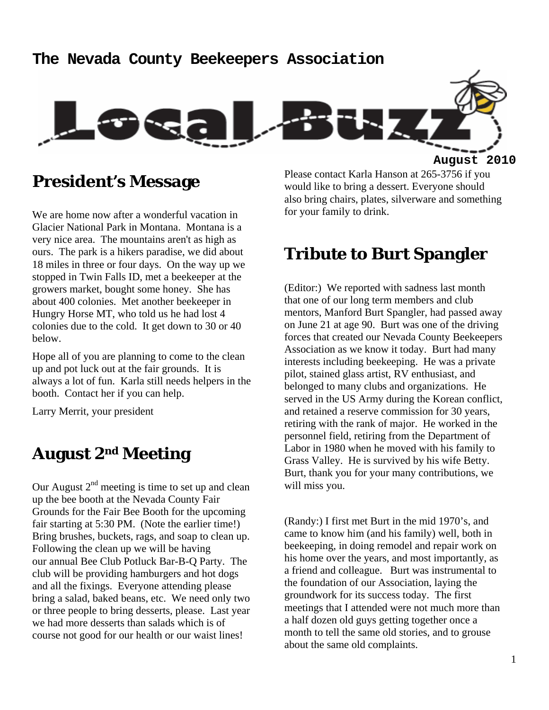#### **The Nevada County Beekeepers Association**



**President's Message** 

We are home now after a wonderful vacation in Glacier National Park in Montana. Montana is a very nice area. The mountains aren't as high as ours. The park is a hikers paradise, we did about 18 miles in three or four days. On the way up we stopped in Twin Falls ID, met a beekeeper at the growers market, bought some honey. She has about 400 colonies. Met another beekeeper in Hungry Horse MT, who told us he had lost 4 colonies due to the cold. It get down to 30 or 40 below.

Hope all of you are planning to come to the clean up and pot luck out at the fair grounds. It is always a lot of fun. Karla still needs helpers in the booth. Contact her if you can help.

Larry Merrit, your president

### **August 2nd Meeting**

Our August  $2<sup>nd</sup>$  meeting is time to set up and clean up the bee booth at the Nevada County Fair Grounds for the Fair Bee Booth for the upcoming fair starting at 5:30 PM. (Note the earlier time!) Bring brushes, buckets, rags, and soap to clean up. Following the clean up we will be having our annual Bee Club Potluck Bar-B-Q Party. The club will be providing hamburgers and hot dogs and all the fixings. Everyone attending please bring a salad, baked beans, etc. We need only two or three people to bring desserts, please. Last year we had more desserts than salads which is of course not good for our health or our waist lines!

Please contact Karla Hanson at 265-3756 if you would like to bring a dessert. Everyone should also bring chairs, plates, silverware and something for your family to drink.

### **Tribute to Burt Spangler**

(Editor:) We reported with sadness last month that one of our long term members and club mentors, Manford Burt Spangler, had passed away on June 21 at age 90. Burt was one of the driving forces that created our Nevada County Beekeepers Association as we know it today. Burt had many interests including beekeeping. He was a private pilot, stained glass artist, RV enthusiast, and belonged to many clubs and organizations. He served in the US Army during the Korean conflict, and retained a reserve commission for 30 years, retiring with the rank of major. He worked in the personnel field, retiring from the Department of Labor in 1980 when he moved with his family to Grass Valley. He is survived by his wife Betty. Burt, thank you for your many contributions, we will miss you.

(Randy:) I first met Burt in the mid 1970's, and came to know him (and his family) well, both in beekeeping, in doing remodel and repair work on his home over the years, and most importantly, as a friend and colleague. Burt was instrumental to the foundation of our Association, laying the groundwork for its success today. The first meetings that I attended were not much more than a half dozen old guys getting together once a month to tell the same old stories, and to grouse about the same old complaints.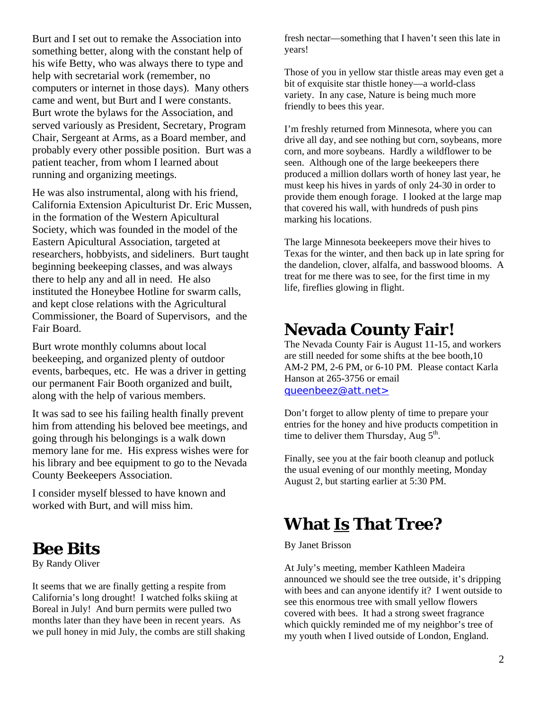Burt and I set out to remake the Association into something better, along with the constant help of his wife Betty, who was always there to type and help with secretarial work (remember, no computers or internet in those days). Many others came and went, but Burt and I were constants. Burt wrote the bylaws for the Association, and served variously as President, Secretary, Program Chair, Sergeant at Arms, as a Board member, and probably every other possible position. Burt was a patient teacher, from whom I learned about running and organizing meetings.

He was also instrumental, along with his friend, California Extension Apiculturist Dr. Eric Mussen, in the formation of the Western Apicultural Society, which was founded in the model of the Eastern Apicultural Association, targeted at researchers, hobbyists, and sideliners. Burt taught beginning beekeeping classes, and was always there to help any and all in need. He also instituted the Honeybee Hotline for swarm calls, and kept close relations with the Agricultural Commissioner, the Board of Supervisors, and the Fair Board.

Burt wrote monthly columns about local beekeeping, and organized plenty of outdoor events, barbeques, etc. He was a driver in getting our permanent Fair Booth organized and built, along with the help of various members.

It was sad to see his failing health finally prevent him from attending his beloved bee meetings, and going through his belongings is a walk down memory lane for me. His express wishes were for his library and bee equipment to go to the Nevada County Beekeepers Association.

I consider myself blessed to have known and worked with Burt, and will miss him.

### **Bee Bits**

By Randy Oliver

It seems that we are finally getting a respite from California's long drought! I watched folks skiing at Boreal in July! And burn permits were pulled two months later than they have been in recent years. As we pull honey in mid July, the combs are still shaking fresh nectar—something that I haven't seen this late in years!

Those of you in yellow star thistle areas may even get a bit of exquisite star thistle honey—a world-class variety. In any case, Nature is being much more friendly to bees this year.

I'm freshly returned from Minnesota, where you can drive all day, and see nothing but corn, soybeans, more corn, and more soybeans. Hardly a wildflower to be seen. Although one of the large beekeepers there produced a million dollars worth of honey last year, he must keep his hives in yards of only 24-30 in order to provide them enough forage. I looked at the large map that covered his wall, with hundreds of push pins marking his locations.

The large Minnesota beekeepers move their hives to Texas for the winter, and then back up in late spring for the dandelion, clover, alfalfa, and basswood blooms. A treat for me there was to see, for the first time in my life, fireflies glowing in flight.

## **Nevada County Fair!**

The Nevada County Fair is August 11-15, and workers are still needed for some shifts at the bee booth,10 AM-2 PM, 2-6 PM, or 6-10 PM. Please contact Karla Hanson at 265-3756 or email queenbeez@att.net>

Don't forget to allow plenty of time to prepare your entries for the honey and hive products competition in time to deliver them Thursday, Aug  $5<sup>th</sup>$ .

Finally, see you at the fair booth cleanup and potluck the usual evening of our monthly meeting, Monday August 2, but starting earlier at 5:30 PM.

### **What Is That Tree?**

#### By Janet Brisson

At July's meeting, member Kathleen Madeira announced we should see the tree outside, it's dripping with bees and can anyone identify it? I went outside to see this enormous tree with small yellow flowers covered with bees. It had a strong sweet fragrance which quickly reminded me of my neighbor's tree of my youth when I lived outside of London, England.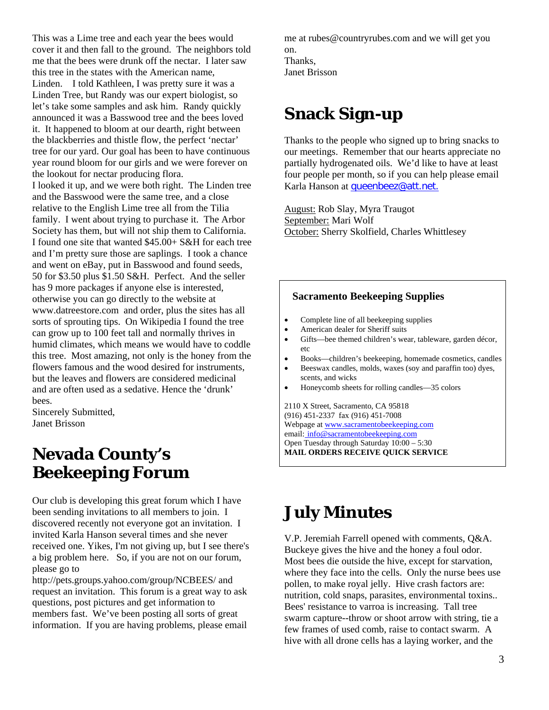This was a Lime tree and each year the bees would cover it and then fall to the ground. The neighbors told me that the bees were drunk off the nectar. I later saw this tree in the states with the American name, Linden. I told Kathleen, I was pretty sure it was a Linden Tree, but Randy was our expert biologist, so let's take some samples and ask him. Randy quickly announced it was a Basswood tree and the bees loved it. It happened to bloom at our dearth, right between the blackberries and thistle flow, the perfect 'nectar' tree for our yard. Our goal has been to have continuous year round bloom for our girls and we were forever on the lookout for nectar producing flora. I looked it up, and we were both right. The Linden tree and the Basswood were the same tree, and a close relative to the English Lime tree all from the Tilia family. I went about trying to purchase it. The Arbor Society has them, but will not ship them to California. I found one site that wanted \$45.00+ S&H for each tree and I'm pretty sure those are saplings. I took a chance and went on eBay, put in Basswood and found seeds, 50 for \$3.50 plus \$1.50 S&H. Perfect. And the seller has 9 more packages if anyone else is interested, otherwise you can go directly to the website at www.datreestore.comand order, plus the sites has all sorts of sprouting tips. On Wikipedia I found the tree can grow up to 100 feet tall and normally thrives in humid climates, which means we would have to coddle this tree. Most amazing, not only is the honey from the flowers famous and the wood desired for instruments, but the leaves and flowers are considered medicinal and are often used as a sedative. Hence the 'drunk' bees.

Sincerely Submitted, Janet Brisson

## **Nevada County's Beekeeping Forum**

Our club is developing this great forum which I have been sending invitations to all members to join. I discovered recently not everyone got an invitation. I invited Karla Hanson several times and she never received one. Yikes, I'm not giving up, but I see there's a big problem here. So, if you are not on our forum, please go to

http://pets.groups.yahoo.com/group/NCBEES/ and request an invitation. This forum is a great way to ask questions, post pictures and get information to members fast. We've been posting all sorts of great information. If you are having problems, please email me at rubes@countryrubes.com and we will get you on. Thanks, Janet Brisson

# **Snack Sign-up**

Thanks to the people who signed up to bring snacks to our meetings. Remember that our hearts appreciate no partially hydrogenated oils. We'd like to have at least four people per month, so if you can help please email Karla Hanson at queenbeez@att.net.

August: Rob Slay, Myra Traugot September: Mari Wolf October: Sherry Skolfield, Charles Whittlesey

#### **Sacramento Beekeeping Supplies**

- Complete line of all beekeeping supplies
- American dealer for Sheriff suits
- Gifts—bee themed children's wear, tableware, garden décor, etc
- Books—children's beekeeping, homemade cosmetics, candles
- Beeswax candles, molds, waxes (soy and paraffin too) dyes, scents, and wicks
- Honeycomb sheets for rolling candles—35 colors

2110 X Street, Sacramento, CA 95818 (916) 451-2337 fax (916) 451-7008 Webpage at www.sacramentobeekeeping.com email: info@sacramentobeekeeping.com Open Tuesday through Saturday 10:00 – 5:30 **MAIL ORDERS RECEIVE QUICK SERVICE** 

# **July Minutes**

V.P. Jeremiah Farrell opened with comments, Q&A. Buckeye gives the hive and the honey a foul odor. Most bees die outside the hive, except for starvation, where they face into the cells. Only the nurse bees use pollen, to make royal jelly. Hive crash factors are: nutrition, cold snaps, parasites, environmental toxins.. Bees' resistance to varroa is increasing. Tall tree swarm capture--throw or shoot arrow with string, tie a few frames of used comb, raise to contact swarm. A hive with all drone cells has a laying worker, and the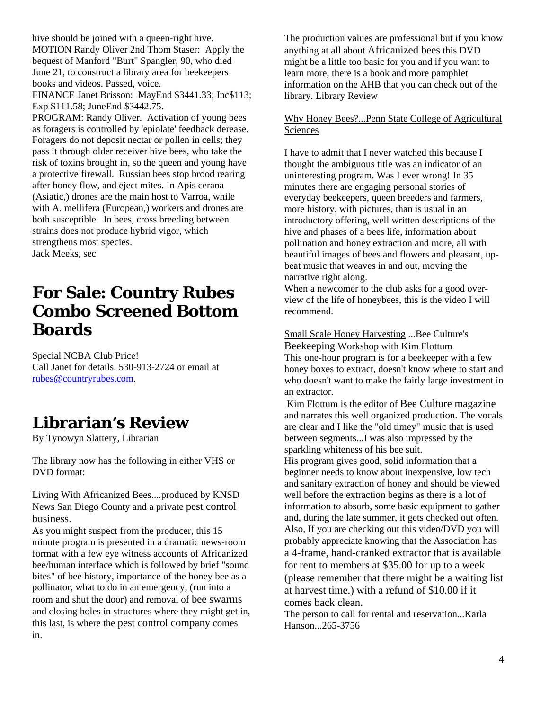hive should be joined with a queen-right hive. MOTION Randy Oliver 2nd Thom Staser: Apply the bequest of Manford "Burt" Spangler, 90, who died June 21, to construct a library area for beekeepers books and videos. Passed, voice.

FINANCE Janet Brisson: MayEnd \$3441.33; Inc\$113; Exp \$111.58; JuneEnd \$3442.75.

PROGRAM: Randy Oliver. Activation of young bees as foragers is controlled by 'epiolate' feedback derease. Foragers do not deposit nectar or pollen in cells; they pass it through older receiver hive bees, who take the risk of toxins brought in, so the queen and young have a protective firewall. Russian bees stop brood rearing after honey flow, and eject mites. In Apis cerana (Asiatic,) drones are the main host to Varroa, while with A. mellifera (European,) workers and drones are both susceptible. In bees, cross breeding between strains does not produce hybrid vigor, which strengthens most species. Jack Meeks, sec

## **For Sale: Country Rubes Combo Screened Bottom Boards**

Special NCBA Club Price! Call Janet for details. 530-913-2724 or email at rubes@countryrubes.com.

## **Librarian's Review**

By Tynowyn Slattery, Librarian

The library now has the following in either VHS or DVD format:

Living With Africanized Bees....produced by KNSD News San Diego County and a private pest control business.

As you might suspect from the producer, this 15 minute program is presented in a dramatic news-room format with a few eye witness accounts of Africanized bee/human interface which is followed by brief "sound bites" of bee history, importance of the honey bee as a pollinator, what to do in an emergency, (run into a room and shut the door) and removal of bee swarms and closing holes in structures where they might get in, this last, is where the pest control company comes in.

The production values are professional but if you know anything at all about Africanized bees this DVD might be a little too basic for you and if you want to learn more, there is a book and more pamphlet information on the AHB that you can check out of the library. Library Review

#### Why Honey Bees?...Penn State College of Agricultural Sciences

I have to admit that I never watched this because I thought the ambiguous title was an indicator of an uninteresting program. Was I ever wrong! In 35 minutes there are engaging personal stories of everyday beekeepers, queen breeders and farmers, more history, with pictures, than is usual in an introductory offering, well written descriptions of the hive and phases of a bees life, information about pollination and honey extraction and more, all with beautiful images of bees and flowers and pleasant, upbeat music that weaves in and out, moving the narrative right along.

When a newcomer to the club asks for a good overview of the life of honeybees, this is the video I will recommend.

Small Scale Honey Harvesting ...Bee Culture's Beekeeping Workshop with Kim Flottum This one-hour program is for a beekeeper with a few honey boxes to extract, doesn't know where to start and who doesn't want to make the fairly large investment in an extractor.

 Kim Flottum is the editor of Bee Culture magazine and narrates this well organized production. The vocals are clear and I like the "old timey" music that is used between segments...I was also impressed by the sparkling whiteness of his bee suit.

His program gives good, solid information that a beginner needs to know about inexpensive, low tech and sanitary extraction of honey and should be viewed well before the extraction begins as there is a lot of information to absorb, some basic equipment to gather and, during the late summer, it gets checked out often. Also, If you are checking out this video/DVD you will probably appreciate knowing that the Association has a 4-frame, hand-cranked extractor that is available for rent to members at \$35.00 for up to a week (please remember that there might be a waiting list at harvest time.) with a refund of \$10.00 if it comes back clean.

The person to call for rental and reservation...Karla Hanson...265-3756